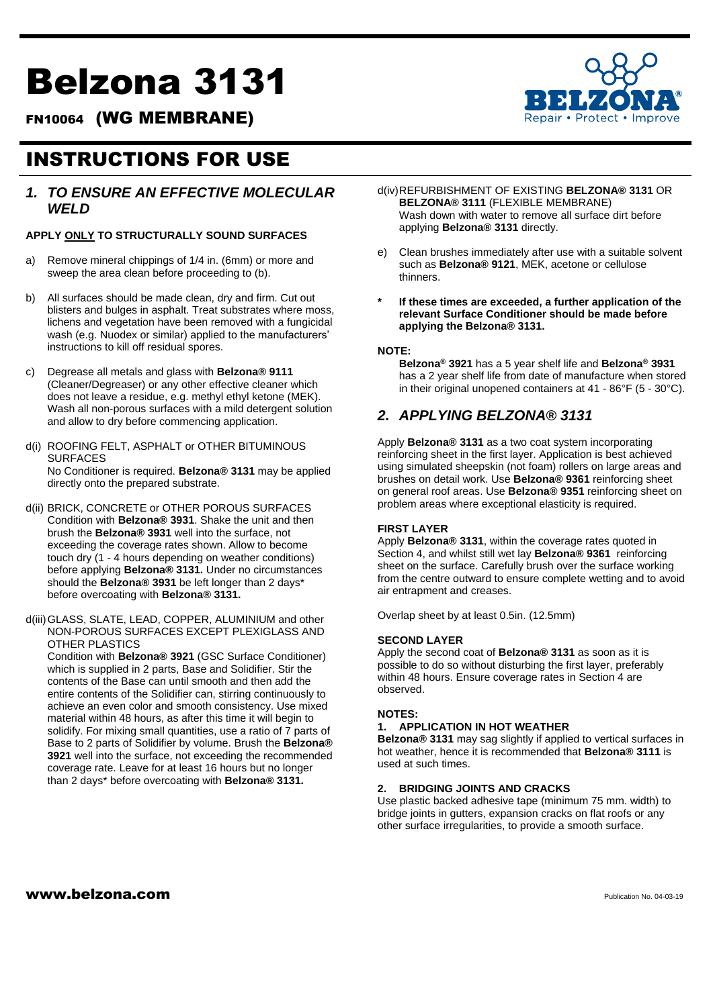# Belzona 3131

FN10064 (WG MEMBRANE)

## INSTRUCTIONS FOR USE

#### *1. TO ENSURE AN EFFECTIVE MOLECULAR WELD*

#### **APPLY ONLY TO STRUCTURALLY SOUND SURFACES**

- Remove mineral chippings of 1/4 in. (6mm) or more and sweep the area clean before proceeding to (b).
- b) All surfaces should be made clean, dry and firm. Cut out blisters and bulges in asphalt. Treat substrates where moss, lichens and vegetation have been removed with a fungicidal wash (e.g. Nuodex or similar) applied to the manufacturers' instructions to kill off residual spores.
- c) Degrease all metals and glass with **Belzona® 9111**  (Cleaner/Degreaser) or any other effective cleaner which does not leave a residue, e.g. methyl ethyl ketone (MEK). Wash all non-porous surfaces with a mild detergent solution and allow to dry before commencing application.
- d(i) ROOFING FELT, ASPHALT or OTHER BITUMINOUS SURFACES No Conditioner is required. **Belzona® 3131** may be applied directly onto the prepared substrate.
- d(ii) BRICK, CONCRETE or OTHER POROUS SURFACES Condition with **Belzona® 3931**. Shake the unit and then brush the **Belzona® 3931** well into the surface, not exceeding the coverage rates shown. Allow to become touch dry (1 - 4 hours depending on weather conditions) before applying **Belzona® 3131.** Under no circumstances should the **Belzona® 3931** be left longer than 2 days\* before overcoating with **Belzona® 3131.**
- d(iii)GLASS, SLATE, LEAD, COPPER, ALUMINIUM and other NON-POROUS SURFACES EXCEPT PLEXIGLASS AND OTHER PLASTICS

Condition with **Belzona® 3921** (GSC Surface Conditioner) which is supplied in 2 parts, Base and Solidifier. Stir the contents of the Base can until smooth and then add the entire contents of the Solidifier can, stirring continuously to achieve an even color and smooth consistency. Use mixed material within 48 hours, as after this time it will begin to solidify. For mixing small quantities, use a ratio of 7 parts of Base to 2 parts of Solidifier by volume. Brush the **Belzona® 3921** well into the surface, not exceeding the recommended coverage rate. Leave for at least 16 hours but no longer than 2 days\* before overcoating with **Belzona® 3131.** 

d(iv)REFURBISHMENT OF EXISTING **BELZONA® 3131** OR **BELZONA® 3111** (FLEXIBLE MEMBRANE) Wash down with water to remove all surface dirt before applying **Belzona® 3131** directly.

- e) Clean brushes immediately after use with a suitable solvent such as **Belzona® 9121**, MEK, acetone or cellulose thinners.
- **\* If these times are exceeded, a further application of the relevant Surface Conditioner should be made before applying the Belzona® 3131.**

#### **NOTE:**

**Belzona® 3921** has a 5 year shelf life and **Belzona® 3931**  has a 2 year shelf life from date of manufacture when stored in their original unopened containers at 41 - 86°F (5 - 30°C).

### *2. APPLYING BELZONA® 3131*

Apply **Belzona® 3131** as a two coat system incorporating reinforcing sheet in the first layer. Application is best achieved using simulated sheepskin (not foam) rollers on large areas and brushes on detail work. Use **Belzona® 9361** reinforcing sheet on general roof areas. Use **Belzona® 9351** reinforcing sheet on problem areas where exceptional elasticity is required.

#### **FIRST LAYER**

Apply **Belzona® 3131**, within the coverage rates quoted in Section 4, and whilst still wet lay **Belzona® 9361** reinforcing sheet on the surface. Carefully brush over the surface working from the centre outward to ensure complete wetting and to avoid air entrapment and creases.

Overlap sheet by at least 0.5in. (12.5mm)

#### **SECOND LAYER**

Apply the second coat of **Belzona® 3131** as soon as it is possible to do so without disturbing the first layer, preferably within 48 hours. Ensure coverage rates in Section 4 are observed.

#### **NOTES:**

#### **1. APPLICATION IN HOT WEATHER**

**Belzona® 3131** may sag slightly if applied to vertical surfaces in hot weather, hence it is recommended that **Belzona® 3111** is used at such times.

#### **2. BRIDGING JOINTS AND CRACKS**

Use plastic backed adhesive tape (minimum 75 mm. width) to bridge joints in gutters, expansion cracks on flat roofs or any other surface irregularities, to provide a smooth surface.